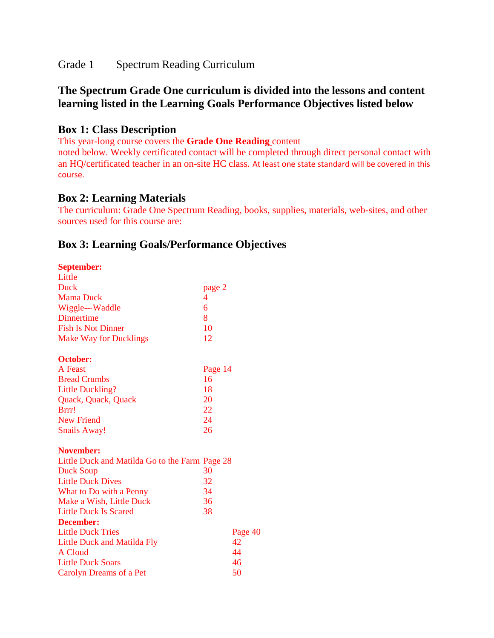Grade 1 Spectrum Reading Curriculum

# **The Spectrum Grade One curriculum is divided into the lessons and content learning listed in the Learning Goals Performance Objectives listed below**

## **Box 1: Class Description**

This year-long course covers the **Grade One Reading** content

noted below. Weekly certificated contact will be completed through direct personal contact with an HQ/certificated teacher in an on-site HC class. At least one state standard will be covered in this course.

## **Box 2: Learning Materials**

The curriculum: Grade One Spectrum Reading, books, supplies, materials, web-sites, and other sources used for this course are:

# **Box 3: Learning Goals/Performance Objectives**

#### **September:**

| Little                                         |         |         |
|------------------------------------------------|---------|---------|
| Duck                                           | page 2  |         |
| <b>Mama Duck</b>                               | 4       |         |
| Wiggle---Waddle                                | 6       |         |
| Dinnertime                                     | 8       |         |
| <b>Fish Is Not Dinner</b>                      | 10      |         |
| <b>Make Way for Ducklings</b>                  | 12      |         |
| <b>October:</b>                                |         |         |
| A Feast                                        | Page 14 |         |
| <b>Bread Crumbs</b>                            | 16      |         |
| <b>Little Duckling?</b>                        | 18      |         |
| Quack, Quack, Quack                            | 20      |         |
| Brrr!                                          | 22      |         |
| New Friend                                     | 24      |         |
| <b>Snails Away!</b>                            | 26      |         |
| <b>November:</b>                               |         |         |
| Little Duck and Matilda Go to the Farm Page 28 |         |         |
| Duck Soup                                      | 30      |         |
| <b>Little Duck Dives</b>                       | 32      |         |
| What to Do with a Penny                        | 34      |         |
| Make a Wish, Little Duck                       | 36      |         |
| <b>Little Duck Is Scared</b>                   | 38      |         |
| December:                                      |         |         |
| <b>Little Duck Tries</b>                       |         | Page 40 |
| Little Duck and Matilda Fly                    |         | 42      |
| A Cloud                                        |         | 44      |
| <b>Little Duck Soars</b>                       |         | 46      |
| Carolyn Dreams of a Pet                        |         | 50      |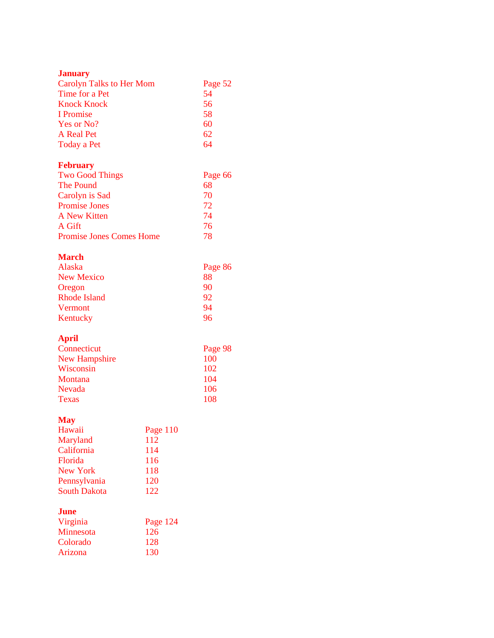#### **January**

| <b>Carolyn Talks to Her Mom</b> | Page 52 |
|---------------------------------|---------|
| Time for a Pet                  | 54      |
| <b>Knock Knock</b>              | 56      |
| I Promise                       | 58      |
| Yes or No?                      | 60      |
| A Real Pet                      | 62      |
| Today a Pet                     | 64      |

### **February**

| Page 66 |
|---------|
| 68      |
| 70      |
| 72      |
| 74      |
| 76      |
| 78      |
|         |

#### **March**

| Alaska              | Page 86 |
|---------------------|---------|
| New Mexico          | 88      |
| Oregon              | 90      |
| <b>Rhode Island</b> | 92      |
| Vermont             | 94      |
| Kentucky            | 96      |

## **April**

| Connecticut    | Page 98 |
|----------------|---------|
| New Hampshire  | 100     |
| Wisconsin      | 102     |
| <b>Montana</b> | 104     |
| <b>Nevada</b>  | 106     |
| <b>Texas</b>   | 108     |

### **May**

| Hawaii              | Page 110 |
|---------------------|----------|
| Maryland            | 112      |
| California          | 114      |
| Florida             | 116      |
| New York            | 118      |
| Pennsylvania        | 120      |
| <b>South Dakota</b> | 122      |

## **June**

| Virginia  | Page 124 |
|-----------|----------|
| Minnesota | 126      |
| Colorado  | 128      |
| Arizona   | 130      |